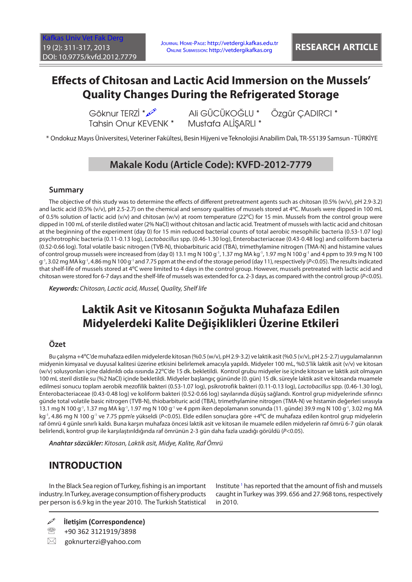# **Effects of Chitosan and Lactic Acid Immersion on the Mussels' Quality Changes During the Refrigerated Storage**

Göknur TERZİ \* $\frac{1}{2}$  Ali GÜCÜKOĞLU \* Özgür ÇADIRCI \*<br>Tahsin Onur KEVENK \* Mustafa ALİSARLI \* Tahsin Onur KEVENK \*

\* Ondokuz Mayıs Üniversitesi, Veteriner Fakültesi, Besin Hijyeni ve Teknolojisi Anabilim Dalı, TR-55139 Samsun - TÜRKİYE

# **Makale Kodu (Article Code): KVFD-2012-7779**

### **Summary**

The objective of this study was to determine the effects of different pretreatment agents such as chitosan (0.5% (w/v), pH 2.9-3.2) and lactic acid (0.5% (v/v), pH 2.5-2.7) on the chemical and sensory qualities of mussels stored at 4°C. Mussels were dipped in 100 mL of 0.5% solution of lactic acid (v/v) and chitosan (w/v) at room temperature (22ºC) for 15 min. Mussels from the control group were dipped in 100 mL of sterile distiled water (2% NaCl) without chitosan and lactic acid. Treatment of mussels with lactic acid and chitosan at the beginning of the experiment (day 0) for 15 min reduced bacterial counts of total aerobic mesophilic bacteria (0.53-1.07 log) psychrotrophic bacteria (0.11-0.13 log), *Lactobacillus* spp. (0.46-1.30 log), Enterobacteriaceae (0.43-0.48 log) and coliform bacteria (0.52-0.66 log). Total volatile basic nitrogen (TVB-N), thiobarbituric acid (TBA), trimethylamine nitrogen (TMA-N) and histamine values of control group mussels were increased from (day 0) 13.1 mg N 100 g<sup>-1</sup>, 1.37 mg MA kg<sup>-1</sup>, 1.97 mg N 100 g<sup>-1</sup> and 4 ppm to 39.9 mg N 100 g-1, 3.02 mg MA kg-1, 4.86 mg N 100 g-1 and 7.75 ppm at the end of the storage period (day 11), respectively (*P*<0.05). The results indicated that shelf-life of mussels stored at 4ºC were limited to 4 days in the control group. However, mussels pretreated with lactic acid and chitosan were stored for 6-7 days and the shelf-life of mussels was extended for ca. 2-3 days, as compared with the control group (*P*<0.05).

*Keywords: Chitosan, Lactic acid, Mussel, Quality, Shelf life*

# **Laktik Asit ve Kitosanın Soğukta Muhafaza Edilen Midyelerdeki Kalite Değişiklikleri Üzerine Etkileri**

## **Özet**

Bu çalışma +4ºC'de muhafaza edilen midyelerde kitosan (%0.5 (w/v), pH 2.9-3.2) ve laktik asit (%0.5 (v/v), pH 2.5-2.7) uygulamalarının midyenin kimyasal ve duyusal kalitesi üzerine etkisini belirlemek amacıyla yapıldı. Midyeler 100 mL, %0.5'lik laktik asit (v/v) ve kitosan (w/v) solusyonları içine daldırıldı oda ısısında 22ºC'de 15 dk. bekletildi. Kontrol grubu midyeler ise içinde kitosan ve laktik asit olmayan 100 mL steril distile su (%2 NaCl) içinde bekletildi. Midyeler başlangıç gününde (0. gün) 15 dk. süreyle laktik asit ve kitosanda muamele edilmesi sonucu toplam aerobik mezofilik bakteri (0.53-1.07 log), psikrotrofik bakteri (0.11-0.13 log), *Lactobacillus* spp. (0.46-1.30 log), Enterobacteriaceae (0.43-0.48 log) ve koliform bakteri (0.52-0.66 log) sayılarında düşüş sağlandı. Kontrol grup midyelerinde sıfırıncı günde total volatile basic nitrogen (TVB-N), thiobarbituric acid (TBA), trimethylamine nitrogen (TMA-N) ve histamin değerleri sırasıyla 13.1 mg N 100 g-1, 1.37 mg MA kg-1, 1.97 mg N 100 g-1 ve 4 ppm iken depolamanın sonunda (11. günde) 39.9 mg N 100 g-1, 3.02 mg MA kg-1, 4.86 mg N 100 g-1 ve 7.75 ppm'e yükseldi (*P*<0.05). Elde edilen sonuçlara göre +4ºC de muhafaza edilen kontrol grup midyelerin raf ömrü 4 günle sınırlı kaldı. Buna karşın muhafaza öncesi laktik asit ve kitosan ile muamele edilen midyelerin raf ömrü 6-7 gün olarak belirlendi, kontrol grup ile karşılaştırıldığında raf ömrünün 2-3 gün daha fazla uzadığı görüldü (*P*<0.05).

*Anahtar sözcükler: Kitosan, Laktik asit, Midye, Kalite, Raf Ömrü*

# **INTRODUCTION**

In the Black Sea region of Turkey, fishing is an important industry. In Turkey, average consumption of fishery products per person is 6.9 kg in the year 2010. The Turkish Statistical

Institute<sup>[1](#page-5-0)</sup> has reported that the amount of fish and mussels caught in Turkey was 399. 656 and 27.968 tons, respectively in 2010.

- **İletişim (Correspondence)**
- <sup>2</sup> +90 362 3121919/3898
- $\boxtimes$  goknurterzi@yahoo.com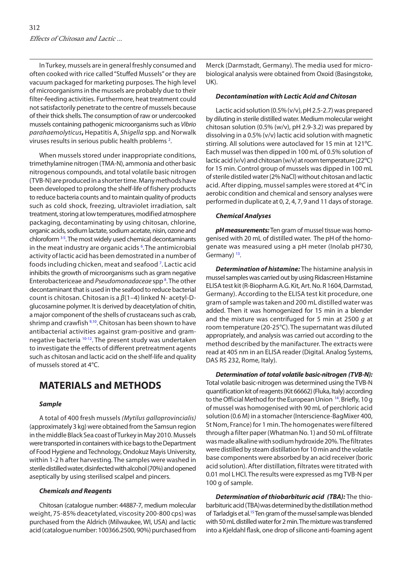In Turkey, mussels are in general freshly consumed and often cooked with rice called "Stuffed Mussels" or they are vacuum packaged for marketing purposes. The high level of microorganisms in the mussels are probably due to their filter-feeding activities. Furthermore, heat treatment could not satisfactorily penetrate to the centre of mussels because of their thick shells. The consumption of raw or undercooked mussels containing pathogenic microorganisms such as *Vibrio parahaemolyticus***,** Hepatitis A, *Shigella* spp. and Norwalk viruses results in serious public health problems<sup>2</sup>.

When mussels stored under inappropriate conditions, trimethylamine nitrogen (TMA-N), ammonia and other basic nitrogenous compounds, and total volatile basic nitrogen (TVB-N) are produced in a shorter time. Many methods have been developed to prolong the shelf-life of fishery products to reduce bacteria counts and to maintain quality of products such as cold shock, freezing, ultraviolet irradiation, salt treatment, storing at low temperatures, modified atmosphere packaging, decontaminating by using chitosan, chlorine, organic acids, sodium lactate, sodium acetate, nisin, ozone and chloroform [3-5. T](#page-5-0)he most widely used chemical decontaminants in the meat industry are organic acids <sup>6</sup>. The antimicrobial activity of lactic acid has been demostrated in a number of foods including chicken, meat and seafood<sup>7</sup>. Lactic acid inhibits the growth of microorganisms such as gram negative Enterobactericeae and *Pseudomonadaceae* spp [8](#page-5-0) . The other decontaminant that is used in the seafood to reduce bacterial count is chitosan. Chitosan is a *β*(1–4) linked N- acetyl-Dglucosamine polymer. It is derived by deacetylation of chitin, a major component of the shells of crustaceans such as crab, shrimp and crawfish <sup>9,10</sup>. Chitosan has been shown to have antibacterial activities against gram-positive and gramnegative bacteria [10-12.](#page-6-0) The present study was undertaken to investigate the effects of different pretreatment agents such as chitosan and lactic acid on the shelf-life and quality of mussels stored at 4°C.

# **MATERIALS and METHODS**

### *Sample*

A total of 400 fresh mussels *(Mytilus galloprovincialis)*  (approximately 3 kg) were obtained from the Samsun region in the middle Black Sea coast of Turkey in May 2010. Mussels were transported in containers with ice bags to the Department of Food Hygiene and Technology, Ondokuz Mayis University, within 1-2 h after harvesting. The samples were washed in sterile distilled water, disinfected with alcohol (70%) and opened aseptically by using sterilised scalpel and pincers.

#### *Chemicals and Reagents*

Chitosan (catalogue number: 44887-7, medium molecular weight, 75-85% deacetylated, viscosity 200-800 cps) was purchased from the Aldrich (Milwaukee, WI, USA) and lactic acid (catalogue number: 100366.2500, 90%) purchased from

Merck (Darmstadt, Germany). The media used for microbiological analysis were obtained from Oxoid (Basingstoke, UK).

#### *Decontamination with Lactic Acid and Chitosan*

Lactic acid solution (0.5% (v/v), pH 2.5-2.7) was prepared by diluting in sterile distilled water. Medium molecular weight chitosan solution (0.5% (w/v), pH 2.9-3.2) was prepared by dissolving in a 0.5% (v/v) lactic acid solution with magnetic stirring. All solutions were autoclaved for 15 min at 121ºC. Each mussel was then dipped in 100 mL of 0.5% solution of lactic acid (v/v) and chitosan (w/v) at room temperature (22ºC) for 15 min. Control group of mussels was dipped in 100 mL of sterile distiled water (2% NaCl) without chitosan and lactic acid. After dipping, mussel samples were stored at 4ºC in aerobic condition and chemical and sensory analyses were performed in duplicate at 0, 2, 4, 7, 9 and 11 days of storage.

#### *Chemical Analyses*

*pH measurements:* Ten gram of mussel tissue was homogenised with 20 mL of distilled water. The pH of the homogenate was measured using a pH meter (Inolab pH730, Germany)<sup>13</sup>.

*Determination of histamine:* The histamine analysis in mussel samples was carried out by using Ridascreen Histamine ELISA test kit (R-Biopharm A.G. Kit, Art. No. R 1604, Darmstad, Germany). According to the ELISA test kit procedure, one gram of sample was taken and 200 mL distilled water was added. Then it was homogenized for 15 min in a blender and the mixture was centrifuged for 5 min at 2500 *g* at room temperature (20-25°C). The supernatant was diluted appropriately, and analysis was carried out according to the method described by the manifacturer. The extracts were read at 405 nm in an ELISA reader (Digital. Analog Systems, DAS RS 232, Rome, Italy).

*Determination of total volatile basic-nitrogen (TVB-N):* Total volatile basic-nitrogen was determined using the TVB-N quantification kit of reagents (Kit 66662) (Fluka, Italy) according to the Official Method for the European Union <sup>14</sup>. Briefly, 10 g of mussel was homogenised with 90 mL of perchloric acid solution (0.6 M) in a stomacher (Interscience-BagMixer 400, St Nom, France) for 1 min. The homogenates were filtered through a filter paper (Whatman No. 1) and 50 mL of filtrate was made alkaline with sodium hydroxide 20%. The filtrates were distilled by steam distillation for 10 min and the volatile base components were absorbed by an acid receiver (boric acid solution). After distillation, filtrates were titrated with 0.01 mol LHCl. The results were expressed as mg TVB-N per 100 g of sample.

*Determination of thiobarbituric acid (TBA):* The thiobarbituric acid (TBA)was determined by the distillation method of Tarladgis et al.<sup>[15](#page-6-0)</sup> Ten gram of the mussel sample was blended with 50 mL distilled water for 2 min. The mixture was transferred into a Kjeldahl flask, one drop of silicone anti-foaming agent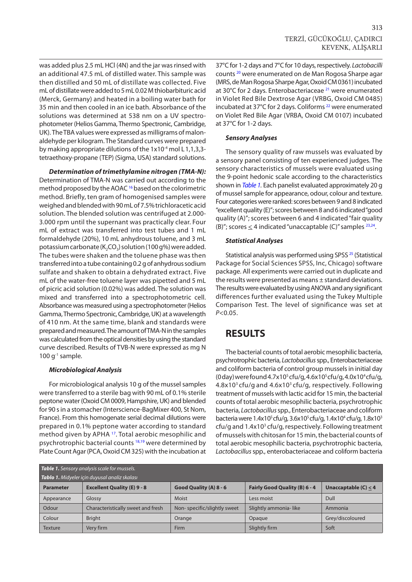was added plus 2.5 mL HCl (4N) and the jar was rinsed with an additional 47.5 mL of distilled water. This sample was then distilled and 50 mL of distillate was collected. Five mL of distillate were added to 5 mL 0.02 M thiobarbituric acid (Merck, Germany) and heated in a boiling water bath for 35 min and then cooled in an ice bath. Absorbance of the solutions was determined at 538 nm on a UV spectrophotometer (Helios Gamma, Thermo Spectronic, Cambridge, UK). The TBA values were expressed as milligrams of malonaldehyde per kilogram. The Standard curves were prepared by making appropriate dilutions of the  $1x10^{-4}$  mol L 1,1,3,3tetraethoxy-propane (TEP) (Sigma, USA) standard solutions.

*Determination of trimethylamine nitrogen (TMA-N):*  Determination of TMA-N was carried out according to the method proposed by the AOAC<sup>[16](#page-6-0)</sup> based on the colorimetric method. Briefly, ten gram of homogenised samples were weighed and blended with 90 mL of 7.5% trichloracetic acid solution. The blended solution was centrifuged at 2.000- 3.000 rpm until the supernant was practically clear. Four mL of extract was transferred into test tubes and 1 mL formaldehyde (20%), 10 mL anhydrous toluene, and 3 mL potassium carbonate ( $K_2CO_3$ ) solution (100 g%) were added. The tubes were shaken and the toluene phase was then transferred into a tube containing 0.2 g of anhydrous sodium sulfate and shaken to obtain a dehydrated extract. Five mL of the water-free toluene layer was pipetted and 5 mL of picric acid solution (0.02%) was added. The solution was mixed and transferred into a spectrophotometric cell. Absorbance was measured using a spectrophotometer (Helios Gamma, Thermo Spectronic, Cambridge, UK) at a wavelength of 410 nm. At the same time, blank and standards were prepared and measured. The amount of TMA-N in the samples was calculated from the optical densities by using the standard curve described. Results of TVB-N were expressed as mg N  $100$  g<sup>-1</sup> sample.

### *Microbiological Analysis*

For microbiological analysis 10 g of the mussel samples were transferred to a sterile bag with 90 mL of 0.1% sterile peptone water (Oxoid CM 0009, Hampshire, UK) and blended for 90 s in a stomacher (Interscience-BagMixer 400, St Nom, France). From this homogenate serial decimal dilutions were prepared in 0.1% peptone water according to standard method given by APHA [17.](#page-6-0) Total aerobic mesophilic and psychrotrophic bacterial counts<sup>18,19</sup> were determined by Plate Count Agar (PCA, Oxoid CM 325) with the incubation at 37°C for 1-2 days and 7°C for 10 days, respectively. *Lactobacilli* counts [20](#page-6-0) were enumerated on de Man Rogosa Sharpe agar (MRS, de Man Rogosa Sharpe Agar, Oxoid CM 0361) incubated at 30°C for 2 days. Enterobacteriaceae [21](#page-6-0) were enumerated in Violet Red Bile Dextrose Agar (VRBG, Oxoid CM 0485) incubated at 37°C for 2 days. Coliforms<sup>22</sup> were enumerated on Violet Red Bile Agar (VRBA, Oxoid CM 0107) incubated at 37°C for 1-2 days.

### *Sensory Analyses*

The sensory quality of raw mussels was evaluated by a sensory panel consisting of ten experienced judges. The sensory characteristics of mussels were evaluated using the 9-point hedonic scale according to the characteristics shown in *Table 1.* Each panelist evaluated approximately 20 g of mussel sample for appearance, odour, colour and texture. Four categories were ranked: scores between 9 and 8 indicated "excellent quality (E)"; scores between 8 and 6 indicated "good quality (A)"; scores between 6 and 4 indicated "fair quality (B)"; scores  $\leq$  4 indicated "unaccaptable (C)" samples  $^{23,24}$ .

### *Statistical Analyses*

Statistical analysis was performed using SPSS<sup>25</sup> (Statistical Package for Social Sciences SPSS, Inc, Chicago) software package. All experiments were carried out in duplicate and the results were presented as means ± standard deviations. The results were evaluated by using ANOVA and any significant differences further evaluated using the Tukey Multiple Comparison Test. The level of significance was set at *P*<0.05.

# **RESULTS**

The bacterial counts of total aerobic mesophilic bacteria, psychrotrophic bacteria, *Lactobacillus* spp., Enterobacteriaceae and coliform bacteria of control group mussels in initial day (0 day) were found  $4.7x10^5$  cfu/g,  $4.6x10^5$  cfu/g,  $4.0x10^4$  cfu/g, 4.8x103 cfu/g and 4.6x103 cfu/g, respectively. Following treatment of mussels with lactic acid for 15 min, the bacterial counts of total aerobic mesophilic bacteria, psychrotrophic bacteria, *Lactobacillus* spp., Enterobacteriaceae and coliform bacteria were 1.4x10<sup>5</sup> cfu/g, 3.6x10<sup>5</sup> cfu/g, 1.4x10<sup>4</sup> cfu/g, 1.8x10<sup>3</sup> cfu/g and 1.4x10<sup>3</sup> cfu/g, respectively. Following treatment of mussels with chitosan for 15 min, the bacterial counts of total aerobic mesophilic bacteria, psychrotrophic bacteria, *Lactobacillus* spp., enterobacteriaceae and coliform bacteria

| Table 1. Sensory analysis scale for mussels.<br>Tablo 1. Midyeler için duyusal analiz skalası |                                    |                             |                               |                        |  |  |
|-----------------------------------------------------------------------------------------------|------------------------------------|-----------------------------|-------------------------------|------------------------|--|--|
| <b>Parameter</b>                                                                              | <b>Excellent Quality (E) 9 - 8</b> | Good Quality (A) 8 - 6      | Fairly Good Quality (B) 6 - 4 | Unaccaptable $(C) < 4$ |  |  |
| Appearance                                                                                    | Glossy                             | Moist                       | Less moist                    | Dull                   |  |  |
| Odour                                                                                         | Characteristically sweet and fresh | Non-specific/slightly sweet | Slightly ammonia-like         | Ammonia                |  |  |
| Colour                                                                                        | <b>Bright</b>                      | Orange                      | Opaque                        | Grey/discoloured       |  |  |
| Texture                                                                                       | Very firm                          | Firm                        | Slightly firm                 | Soft                   |  |  |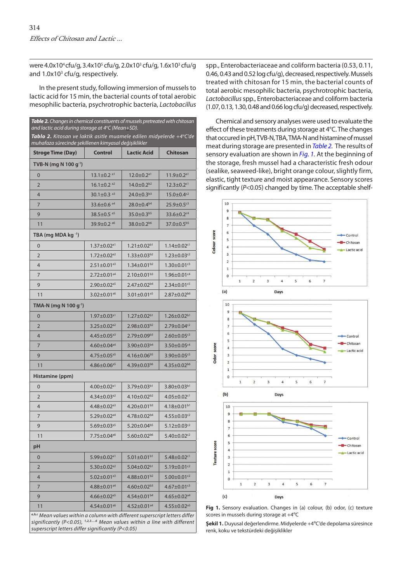were 4.0x10<sup>4</sup>cfu/g, 3.4x10<sup>5</sup> cfu/g, 2.0x10<sup>3</sup> cfu/g, 1.6x10<sup>3</sup> cfu/g and 1.0x10<sup>3</sup> cfu/g, respectively.

In the present study, following immersion of mussels to lactic acid for 15 min, the bacterial counts of total aerobic mesophilic bacteria, psychrotrophic bacteria, *Lactobacillus*

| Table 2. Changes in chemical constituents of mussels pretreated with chitosan<br>and lactic acid during storage at $4^{\circ}$ C (Mean $\pm$ SD).      |                               |                                  |                               |  |  |
|--------------------------------------------------------------------------------------------------------------------------------------------------------|-------------------------------|----------------------------------|-------------------------------|--|--|
| <b>Tablo 2.</b> Kitosan ve laktik asitle muamele edilen midyelerde +4°C'de<br>muhafaza sürecinde şekillenen kimyasal değişiklikler                     |                               |                                  |                               |  |  |
| <b>Stroge Time (Day)</b>                                                                                                                               | <b>Control</b>                | <b>Lactic Acid</b>               | <b>Chitosan</b>               |  |  |
| TVB-N (mg N 100 g <sup>-1</sup> )                                                                                                                      |                               |                                  |                               |  |  |
| $\mathbf 0$                                                                                                                                            | $13.1 \pm 0.2$ <sup>a1</sup>  | $12.0 \pm 0.2$ <sup>a1</sup>     | $11.9 \pm 0.2$ <sup>a1</sup>  |  |  |
| 2                                                                                                                                                      | $16.1 \pm 0.2$ <sup>a2</sup>  | $14.0 \pm 0.2^{b2}$              | $12.3 \pm 0.2$ <sup>c1</sup>  |  |  |
| 4                                                                                                                                                      | $30.1 \pm 0.3$ <sup>a3</sup>  | $24.0 \pm 0.3^{b3}$              | $15.0 \pm 0.4$ <sup>c2</sup>  |  |  |
| 7                                                                                                                                                      | 33.6±0.6 <sup>a4</sup>        | 28.0±0.4 <sup>b4</sup>           | $25.9 \pm 0.5$ ${^{c3}}$      |  |  |
| 9                                                                                                                                                      | $38.5 \pm 0.5$ <sup>a5</sup>  | $35.0 \pm 0.3^{b5}$              | $33.6 \pm 0.2$ <sup>c4</sup>  |  |  |
| 11                                                                                                                                                     | $39.9 \pm 0.2$ a6             | $38.0 \pm 0.2^{b6}$              | 37.0±0.5 <sup>b5</sup>        |  |  |
| TBA (mg MDA kg -1)                                                                                                                                     |                               |                                  |                               |  |  |
| $\mathbf 0$                                                                                                                                            | $1.37\pm0.02^\mathrm{a1}$     | $1.21 \pm 0.02^{b1}$             | $1.14 \pm 0.02$ <sup>c1</sup> |  |  |
| 2                                                                                                                                                      | $1.72 \pm 0.02$ <sup>a2</sup> | $1.33 \pm 0.03^{b2}$             | $1.23 \pm 0.03^{c2}$          |  |  |
| 4                                                                                                                                                      | $2.51 \pm 0.01$ <sup>a3</sup> | $1.34 \pm 0.01^{b2}$             | $1.30 \pm 0.01$ <sup>c3</sup> |  |  |
| 7                                                                                                                                                      | $2.72 \pm 0.01$ <sup>a4</sup> | $2.10 \pm 0.01^{b3}$             | 1.96±0.01 <sup>c4</sup>       |  |  |
| 9                                                                                                                                                      | $2.90 \pm 0.02$ <sup>a5</sup> | $2.47 \pm 0.02^{b4}$             | $2.34 \pm 0.01$ <sup>c5</sup> |  |  |
| 11                                                                                                                                                     | $3.02 \pm 0.01$ <sup>a6</sup> | $3.01 \pm 0.01$ <sup>a5</sup>    | $2.87 \pm 0.02^{66}$          |  |  |
| TMA-N (mg N 100 g <sup>-1</sup> )                                                                                                                      |                               |                                  |                               |  |  |
| 0                                                                                                                                                      | $1.97 \pm 0.03$ <sup>a1</sup> | $1.27 \pm 0.02$ <sup>b1</sup>    | $1.26 \pm 0.02^{b1}$          |  |  |
| 2                                                                                                                                                      | $3.25 \pm 0.02$ <sup>a2</sup> | $2.98 \pm 0.03^{b2}$             | $2.79 \pm 0.04$ <sup>c2</sup> |  |  |
| 4                                                                                                                                                      | $4.45 \pm 0.05$ <sup>a3</sup> | $2.79 \pm 0.09$ <sup>b3</sup>    | $2.60 \pm 0.05$ <sup>c3</sup> |  |  |
| 7                                                                                                                                                      | $4.60 \pm 0.04^{ad}$          | $3.90 \pm 0.03^{b4}$             | $3.50 \pm 0.05$ <sup>c4</sup> |  |  |
| 9                                                                                                                                                      | $4.75 \pm 0.05$ <sup>a5</sup> | $4.16 \pm 0.06^{b5}$             | $3.90 \pm 0.05$ <sup>c5</sup> |  |  |
| 11                                                                                                                                                     | $4.86 \pm 0.06^{a5}$          | $4.39 \pm 0.03^{66}$             | $4.35 \pm 0.02^{66}$          |  |  |
| Histamine (ppm)                                                                                                                                        |                               |                                  |                               |  |  |
| $\mathbf 0$                                                                                                                                            | $4.00 \pm 0.02$ <sup>a1</sup> | $3.79 \pm 0.03^{b1}$             | $3.80 \pm 0.03^{b1}$          |  |  |
| 2                                                                                                                                                      | $4.34 \pm 0.03$ <sup>a2</sup> | $4.10 \pm 0.02^{b2}$             | $4.05 \pm 0.02$ <sup>c1</sup> |  |  |
| 4                                                                                                                                                      | $4.48 \pm 0.02$ <sup>a3</sup> | 4.20 $\pm$ 0.01 $b$ <sup>3</sup> | $4.18 \pm 0.01^{b1}$          |  |  |
| 7                                                                                                                                                      | $5.29 \pm 0.02$ a4            | $4.78 \pm 0.02^{b4}$             | $4.55 \pm 0.03$ <sup>c2</sup> |  |  |
| 9                                                                                                                                                      | $5.69{\pm}0.03^{\mathrm{a}5}$ | $5.20 \pm 0.04^{\text{b5}}$      | $5.12 \pm 0.03$ <sup>c2</sup> |  |  |
| 11                                                                                                                                                     | $7.75 \pm 0.04$ a6            | $5.60 \pm 0.02^{b6}$             | $5.40 \pm 0.02$ <sup>c2</sup> |  |  |
| рH                                                                                                                                                     |                               |                                  |                               |  |  |
| 0                                                                                                                                                      | 5.99±0.02 <sup>a1</sup>       | $5.01 \pm 0.01$ b1               | $5.48 \pm 0.02$ <sup>c1</sup> |  |  |
| 2                                                                                                                                                      | $5.30 \pm 0.02$ <sup>a2</sup> | $5.04 \pm 0.02$ <sup>b1</sup>    | $5.19 \pm 0.01$ <sup>c2</sup> |  |  |
| 4                                                                                                                                                      | $5.02 \pm 0.01$ <sup>a3</sup> | 4.88 $\pm$ 0.01 $b$ <sup>2</sup> | $5.00 \pm 0.01$ <sup>c2</sup> |  |  |
| 7                                                                                                                                                      | 4.88±0.01 <sup>a4</sup>       | $4.60 \pm 0.02^{b3}$             | $4.67 \pm 0.01$ <sup>c3</sup> |  |  |
| 9                                                                                                                                                      | 4.66 $\pm$ 0.02 <sup>a5</sup> | 4.54±0.01 <sup>b4</sup>          | $4.65 \pm 0.02^{a4}$          |  |  |
| 11                                                                                                                                                     | 4.54 $\pm$ 0.01 <sup>a6</sup> | $4.52 \pm 0.01^{ad}$             | $4.55 \pm 0.02$ <sup>a5</sup> |  |  |
| a,b,c Mean values within a column with different superscript letters differ<br>significantly (P<0.05), 1,2,36 Mean values within a line with different |                               |                                  |                               |  |  |

*superscript letters differ significantly (P<0.05)*

spp., Enterobacteriaceae and coliform bacteria (0.53, 0.11, 0.46, 0.43 and 0.52 log cfu/g), decreased, respectively. Mussels treated with chitosan for 15 min, the bacterial counts of total aerobic mesophilic bacteria, psychrotrophic bacteria, *Lactobacillus* spp., Enterobacteriaceae and coliform bacteria (1.07, 0.13, 1.30, 0.48 and 0.66 log cfu/g) decreased, respectively.

Chemical and sensory analyses were used to evaluate the effect of these treatments during storage at 4°C. The changes that occured in pH, TVB-N, TBA, TMA-N and histamine of mussel meat during storage are presented in *Table 2.* The results of sensory evaluation are shown in *Fig. 1.* At the beginning of the storage, fresh mussel had a characteristic fresh odour (sealike, seaweed-like), bright orange colour, slightly firm, elastic, tight texture and moist appearance. Sensory scores significantly (*P*<0.05) changed by time. The acceptable shelf-



Fig 1. Sensory evaluation. Changes in (a) colour, (b) odor, (c) texture scores in mussels during storage at +4ºC

**Şekil 1.** Duyusal değerlendirme. Midyelerde +4ºC'de depolama süresince renk, koku ve tekstürdeki değişiklikler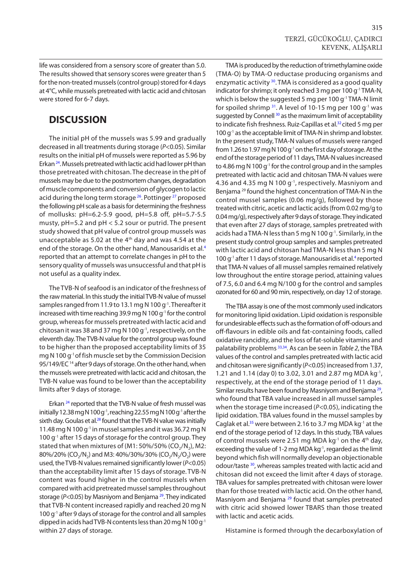life was considered from a sensory score of greater than 5.0. The results showed that sensory scores were greater than 5 for the non-treated mussels (control group) stored for 4 days at 4°C, while mussels pretreated with lactic acid and chitosan were stored for 6-7 days.

# **DISCUSSION**

The initial pH of the mussels was 5.99 and gradually decreased in all treatments during storage (*P*<0.05). Similar results on the initial pH of mussels were reported as 5.96 by Erkan [24.](#page-6-0) Mussels pretreated with lactic acid had lower pH than those pretreated with chitosan. The decrease in the pH of mussels may be due to the postmortem changes, degradation of muscle components and conversion of glycogen to lactic acid during the long term storage <sup>26</sup>. Pottinger <sup>27</sup> proposed the following pH scale as a basis for determining the freshness of mollusks: pH=6.2-5.9 good, pH=5.8 off, pH=5.7-5.5 musty, pH=5.2 and pH < 5.2 sour or putrid. The present study showed that pH value of control group mussels was unacceptable as 5.02 at the 4<sup>th</sup> day and was 4.54 at the end of the storage. On the other hand, Manousaridis et al.<sup>[4](#page-5-0)</sup> reported that an attempt to correlate changes in pH to the sensory quality of mussels was unsuccessful and that pH is not useful as a quality index.

The TVB-N of seafood is an indicator of the freshness of the raw material. In this study the initial TVB-N value of mussel samples ranged from 11.9 to 13.1 mg N 100 g<sup>-1</sup>. Thereafter it increased with time reaching 39.9 mg N 100 g<sup>-1</sup> for the control group, whereas for mussels pretreated with lactic acid and chitosan it was 38 and 37 mg N 100  $q^{-1}$ , respectively, on the eleventh day. The TVB-N value for the control group was found to be higher than the proposed acceptability limits of 35 mg N 100 g-1 of fish muscle set by the Commission Decision 95/149/EC 14 after 9 days of storage. On the other hand, when the mussels were pretreated with lactic acid and chitosan, the TVB-N value was found to be lower than the acceptability limits after 9 days of storage.

Erkan [24](#page-6-0) reported that the TVB-N value of fresh mussel was initially 12.38 mg N 100 g<sup>-1</sup>, reaching 22.55 mg N 100 g<sup>-1</sup> after the sixth day. Goulas et al.<sup>28</sup> found that the TVB-N value was initially 11.48 mg N 100 g<sup>-1</sup> in mussel samples and it was 36.72 mg N 100 g<sup>-1</sup> after 15 days of storage for the control group. They stated that when mixtures of  $(M1:50\%/50\%$  (CO<sub>2</sub>/N<sub>2</sub>), M2: 80%/20% (CO<sub>2</sub>/N<sub>2</sub>) and M3: 40%/30%/30% (CO<sub>2</sub>/N<sub>2</sub>/O<sub>2</sub>) were used, the TVB-N values remained significantly lower (*P*<0.05) than the acceptability limit after 15 days of storage. TVB-N content was found higher in the control mussels when compared with acid pretreated mussel samples throughout storage (*P*<0.05) by Masniyom and Benjama [29.](#page-6-0) They indicated that TVB-N content increased rapidly and reached 20 mg N 100 g<sup>-1</sup> after 9 days of storage for the control and all samples dipped in acids had TVB-N contents less than 20 mg N 100 g-1 within 27 days of storage.

TMA is produced by the reduction of trimethylamine oxide (TMA-O) by TMA-O reductase producing organisms and enzymatic activity [30.](#page-6-0) TMA is considered as a good quality indicator for shrimp; it only reached 3 mg per 100 g<sup>-1</sup> TMA-N, which is below the suggested 5 mg per 100 g<sup>-1</sup> TMA-N limit for spoiled shrimp  $31$ . A level of 10-15 mg per 100 g<sup>-1</sup> was suggested by Connell<sup>[30](#page-6-0)</sup> as the maximum limit of acceptability to indicate fish freshness. Ruiz-Capillas et al.<sup>[32](#page-6-0)</sup> cited 5 mg per 100 g<sup>-1</sup> as the acceptable limit of TMA-N in shrimp and lobster. In the present study, TMA-N values of mussels were ranged from 1.26 to 1.97 mg N 100 g-1 on the first day of storage. At the end of the storage period of 11 days, TMA-N values increased to 4.86 mg N 100 g-1 for the control group and in the samples pretreated with lactic acid and chitosan TMA-N values were 4.36 and 4.35 mg N 100 g-1, respectively. Masniyom and Benjama [29](#page-6-0) found the highest concentration of TMA-N in the control mussel samples (0.06 mg/g), followed by those treated with citric, acetic and lactic acids (from 0.02 mg/g to 0.04 mg/g), respectively after 9 days of storage. They indicated that even after 27 days of storage, samples pretreated with acids had a TMA-N less than 5 mg N 100  $q^{-1}$ . Similarly, in the present study control group samples and samples pretreated with lactic acid and chitosan had TMA-N less than 5 mg N 100 g<sup>-1</sup> after 11 days of storage. Manousaridis et al.<sup>4</sup> reported that TMA-N values of all mussel samples remained relatively low throughout the entire storage period, attaining values of 7.5, 6.0 and 6.4 mg N/100 g for the control and samples ozonated for 60 and 90 min, respectively, on day 12 of storage.

The TBA assay is one of the most commonly used indicators for monitoring lipid oxidation. Lipid oxidation is responsible for undesirable effects such as the formation of off-odours and off-flavours in edible oils and fat-containing foods, called oxidative rancidity, and the loss of fat-soluble vitamins and palatability problems [33,34.](#page-6-0) As can be seen in *Table 2*, the TBA values of the control and samples pretreated with lactic acid and chitosan were significantly (*P*<0.05) increased from 1.37, 1.21 and 1.14 (day 0) to 3.02, 3.01 and 2.87 mg MDA kg-1, respectively, at the end of the storage period of 11 days. Similar results have been found by Masniyom and Benjama [29,](#page-6-0) who found that TBA value increased in all mussel samples when the storage time increased (*P*<0.05), indicating the lipid oxidation. TBA values found in the mussel samples by Caglak et al.<sup>35</sup> were between 2.16 to 3.7 mg MDA kg<sup>-1</sup> at the end of the storage period of 12 days. In this study, TBA values of control mussels were 2.51 mg MDA kg $^{-1}$  on the 4<sup>th</sup> day, exceeding the value of 1-2 mg MDA kg $^{-1}$ , regarded as the limit beyond which fish will normally develop an objectionable odour/taste [30,](#page-6-0) whereas samples treated with lactic acid and chitosan did not exceed the limit after 4 days of storage. TBA values for samples pretreated with chitosan were lower than for those treated with lactic acid. On the other hand, Masniyom and Benjama [29](#page-6-0) found that samples pretreated with citric acid showed lower TBARS than those treated with lactic and acetic acids.

Histamine is formed through the decarboxylation of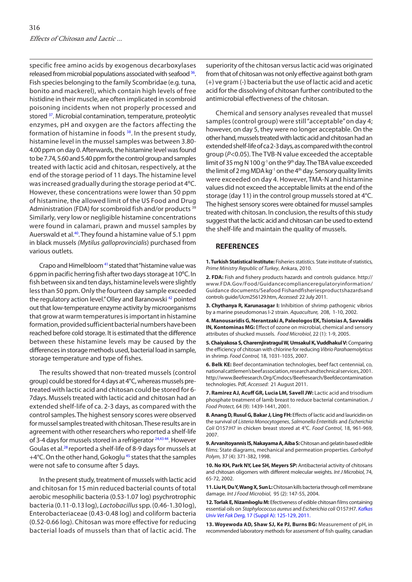<span id="page-5-0"></span>specific free amino acids by exogenous decarboxylases released from microbial populations associated with seafood [36.](#page-6-0) Fish species belonging to the family Scombridae (e.g. tuna, bonito and mackerel), which contain high levels of free histidine in their muscle, are often implicated in scombroid poisoning incidents when not properly processed and stored <sup>37</sup>. Microbial contamination, temperature, proteolytic enzymes, pH and oxygen are the factors affecting the formation of histamine in foods [38.](#page-6-0) In the present study, histamine level in the mussel samples was between 3.80- 4.00 ppm on day 0. Afterwards, the histamine level was found to be 7.74, 5.60 and 5.40 ppm for the control group and samples treated with lactic acid and chitosan, respectively, at the end of the storage period of 11 days. The histamine level was increased gradually during the storage period at 4ºC. However, these concentrations were lower than 50 ppm of histamine, the allowed limit of the US Food and Drug Administration (FDA) for scombroid fish and/or products<sup>[39](#page-6-0)</sup> Similarly, very low or negligible histamine concentrations were found in calamari, prawn and mussel samples by Auerswald et al[.40.](#page-6-0) They found a histamine value of 5.1 ppm in black mussels *(Mytilus galloprovincialis*) purchased from various outlets.

Crapo and Himelbloom [41](#page-6-0) stated that "histamine value was 6 ppm in pacific herring fish after two days storageat 10ºC. In fish between six and ten days, histamine levels were slightly less than 50 ppm. Only the fourteen day sample exceeded the regulatory action level." Olley and Baranowski<sup>42</sup> pointed out that low-temperature enzyme activity by microorganisms that grow at warm temperatures is important in histamine formation, provided sufficient bacterial numbers have been reached before cold storage. It is estimated that the difference between these histamine levels may be caused by the differences in storage methods used, bacterial load in sample, storage temperature and type of fishes.

The results showed that non-treated mussels (control group) could be stored for 4 days at 4°C, whereas mussels pretreated with lactic acid and chitosan could be stored for 6- 7days. Mussels treated with lactic acid and chitosan had an extended shelf-life of ca. 2-3 days, as compared with the control samples. The highest sensory scores were observed for mussel samples treated with chitosan. These results are in agreement with other researchers who reported a shelf-life of 3-4 days for mussels stored in a refrigerator <sup>24,4344</sup>. However Goulas et al[.28](#page-6-0) reported a shelf-life of 8-9 days for mussels at +4°C. On the other hand, Gokoglu<sup>45</sup> states that the samples were not safe to consume after 5 days.

In the present study, treatment of mussels with lactic acid and chitosan for 15 min reduced bacterial counts of total aerobic mesophilic bacteria (0.53-1.07 log) psychrotrophic bacteria (0.11-0.13 log), *Lactobacillus* spp. (0.46-1.30 log), Enterobacteriaceae (0.43-0.48 log) and coliform bacteria (0.52-0.66 log). Chitosan was more effective for reducing bacterial loads of mussels than that of lactic acid. The

superiority of the chitosan versus lactic acid was originated from that of chitosan was not only effective against both gram (+) ve gram (-) bacteria but the use of lactic acid and acetic acid for the dissolving of chitosan further contributed to the antimicrobial effectiveness of the chitosan.

Chemical and sensory analyses revealed that mussel samples (control group) were still "acceptable" on day 4; however, on day 5, they were no longer acceptable. On the other hand, mussels treated with lactic acid and chitosan had an extended shelf-life of ca 2-3 days, as compared with the control group (*P*<0.05). The TVB-N value exceeded the acceptable limit of 35 mg N 100  $q^{-1}$  on the 9<sup>th</sup> day. The TBA value exceeded the limit of 2 mg MDA kg<sup>-1</sup> on the 4<sup>th</sup> day. Sensory quality limits were exceeded on day 4. However, TMA-N and histamine values did not exceed the acceptable limits at the end of the storage (day 11) in the control group mussels stored at 4°C. The highest sensory scores were obtained for mussel samples treated with chitosan. In conclusion, the results of this study suggest that the lactic acid and chitosan can be used to extend the shelf-life and maintain the quality of mussels.

#### **REFERENCES**

**1. Turkish Statistical Institute:** Fisheries statistics. State institute of statistics, *Prime Ministry Republic of Turkey*, Ankara, 2010.

**2. FDA:** Fish and fishery products hazards and controls guidance. http:// www.FDA.Gov/Food/Guidancecomplianceregulatoryinformation/ Guidance documents/Seafood Fishandfisheriesproductshazardsand controls guide/Ucm256129.htm, *Accessed:* 22 July 2011.

**3. Chythanya R, Karunasagar I:** Inhibition of shrimp pathogenic vibrios by a marine pseudomonas I-2 strain. *Aquaculture,* 208, 1-10, 2002.

**4. Manousaridis G, Nerantzaki A, Paleologos EK, Tsiotsias A, Savvaidis IN, Kontominas MG:** Effect of ozone on microbial, chemical and sensory attributes of shucked mussels. *Food Microbiol*, 22 (1): 1-9, 2005.

**5. Chaiyakosa S, Charernjiratragul W, Umsakul K, Vuddhakul V:** Comparing the efficiency of chitosan with chlorine for reducing *Vibrio Parahaemolyticus* in shrimp. *Food Control,* 18, 1031-1035, 2007.

**6. Belk KE:** Beef decontamination technologies, beef fact centennial, co, national cattlemen's beef association, research and technical services, 2001. http://www.Beefresearch.Org/Cmdocs/Beefresearch/Beefdecontamination technologies. Pdf, *Accessed:* 21 August 2011.

**7. Ramirez AJ, Acuff GR, Lucia LM, Savell JW:** Lactic acid and trisodium phosphate treatment of lamb breast to reduce bacterial contamination. *J Food Protect,* 64 (9): 1439-1441, 2001.

**8. Anang D, Rusul G, Bakar J, Ling FH:** Effects of lactic acid and lauricidin on the survival of *Listeria Monocytogenes*, *Salmonella Enteritidis* and *Escherichia Coli* O157:H7 in chicken breast stored at 4°C. *Food Control*, 18, 961-969, 2007.

**9. Arvanitoyannis IS, Nakayama A, Aiba S:** Chitosan and gelatin based edible films: State diagrams, mechanical and permeation properties. *Carbohyd Polym,* 37 (4): 371-382, 1998.

**10. No KH, Park NY, Lee SH, Meyers SP:** Antibacterial activity of chitosans and chitosan oligomers with different molecular weights. *Int J Microbiol*, 74, 65-72, 2002.

**11. Liu H, Du Y, Wang X, Sun L:** Chitosan kills bacteria through cell membrane damage. *Int J Food Microbiol*, 95 (2): 147-55, 2004.

**12. Torlak E, Nizamlıoglu M:** [Efectiveness of edible chitosan films containing](http://vetdergi.kafkas.edu.tr/extdocs/2011_2A/S125-S129.pdf) essential oils on *Staphylococcus aureus* and *Escherichia coli* O157:H7. *Kafkas Univ Vet Fak Derg,* 17 (Suppl A): 125-129, 2011.

**13. Woyewoda AD, Shaw SJ, Ke PJ, Burns BG:** Measurement of pH, in recommended laboratory methods for assessment of fish quality, canadian